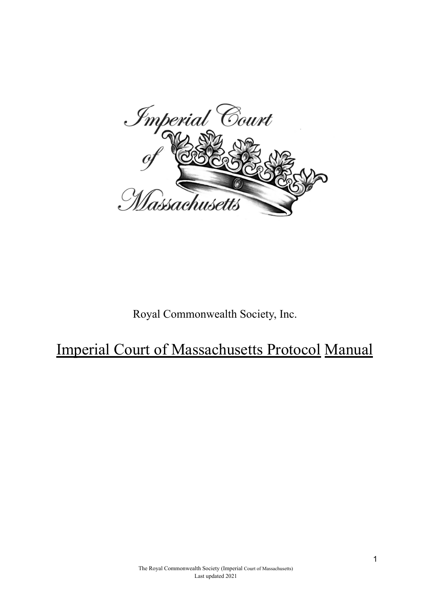

Royal Commonwealth Society, Inc.

Imperial Court of Massachusetts Protocol Manual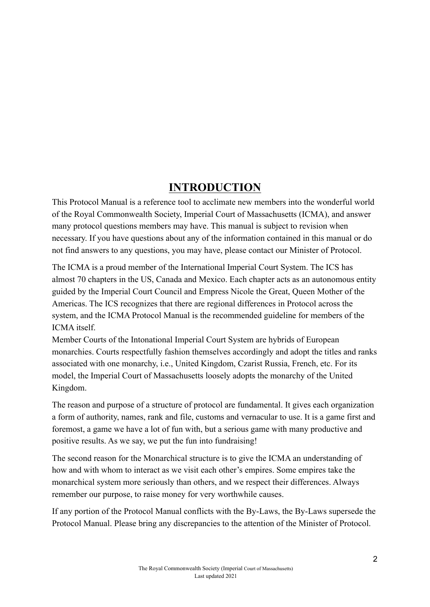# **INTRODUCTION**

This Protocol Manual is a reference tool to acclimate new members into the wonderful world of the Royal Commonwealth Society, Imperial Court of Massachusetts (ICMA), and answer many protocol questions members may have. This manual is subject to revision when necessary. If you have questions about any of the information contained in this manual or do not find answers to any questions, you may have, please contact our Minister of Protocol.

The ICMA is a proud member of the International Imperial Court System. The ICS has almost 70 chapters in the US, Canada and Mexico. Each chapter acts as an autonomous entity guided by the Imperial Court Council and Empress Nicole the Great, Queen Mother of the Americas. The ICS recognizes that there are regional differences in Protocol across the system, and the ICMA Protocol Manual is the recommended guideline for members of the ICMA itself.

Member Courts of the Intonational Imperial Court System are hybrids of European monarchies. Courts respectfully fashion themselves accordingly and adopt the titles and ranks associated with one monarchy, i.e., United Kingdom, Czarist Russia, French, etc. For its model, the Imperial Court of Massachusetts loosely adopts the monarchy of the United Kingdom.

The reason and purpose of a structure of protocol are fundamental. It gives each organization a form of authority, names, rank and file, customs and vernacular to use. It is a game first and foremost, a game we have a lot of fun with, but a serious game with many productive and positive results. As we say, we put the fun into fundraising!

The second reason for the Monarchical structure is to give the ICMA an understanding of how and with whom to interact as we visit each other's empires. Some empires take the monarchical system more seriously than others, and we respect their differences. Always remember our purpose, to raise money for very worthwhile causes.

If any portion of the Protocol Manual conflicts with the By-Laws, the By-Laws supersede the Protocol Manual. Please bring any discrepancies to the attention of the Minister of Protocol.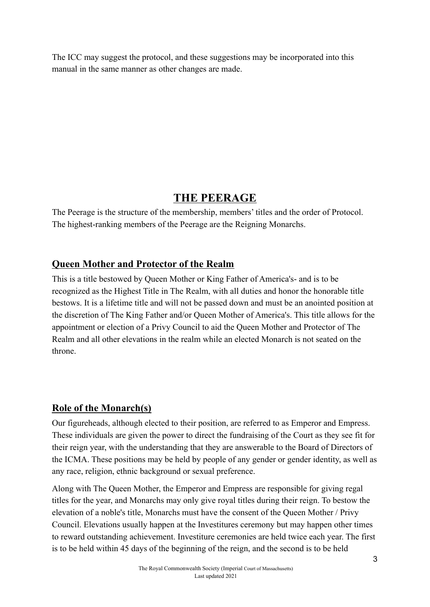The ICC may suggest the protocol, and these suggestions may be incorporated into this manual in the same manner as other changes are made.

# **THE PEERAGE**

The Peerage is the structure of the membership, members' titles and the order of Protocol. The highest-ranking members of the Peerage are the Reigning Monarchs.

# **Queen Mother and Protector of the Realm**

This is a title bestowed by Queen Mother or King Father of America's- and is to be recognized as the Highest Title in The Realm, with all duties and honor the honorable title bestows. It is a lifetime title and will not be passed down and must be an anointed position at the discretion of The King Father and/or Queen Mother of America's. This title allows for the appointment or election of a Privy Council to aid the Queen Mother and Protector of The Realm and all other elevations in the realm while an elected Monarch is not seated on the throne.

# **Role of the Monarch(s)**

Our figureheads, although elected to their position, are referred to as Emperor and Empress. These individuals are given the power to direct the fundraising of the Court as they see fit for their reign year, with the understanding that they are answerable to the Board of Directors of the ICMA. These positions may be held by people of any gender or gender identity, as well as any race, religion, ethnic background or sexual preference.

Along with The Queen Mother, the Emperor and Empress are responsible for giving regal titles for the year, and Monarchs may only give royal titles during their reign. To bestow the elevation of a noble's title, Monarchs must have the consent of the Queen Mother / Privy Council. Elevations usually happen at the Investitures ceremony but may happen other times to reward outstanding achievement. Investiture ceremonies are held twice each year. The first is to be held within 45 days of the beginning of the reign, and the second is to be held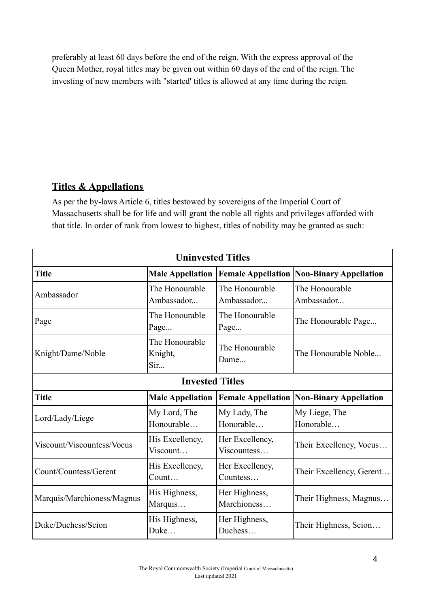preferably at least 60 days before the end of the reign. With the express approval of the Queen Mother, royal titles may be given out within 60 days of the end of the reign. The investing of new members with "started' titles is allowed at any time during the reign.

# **Titles & Appellations**

As per the by-laws Article 6, titles bestowed by sovereigns of the Imperial Court of Massachusetts shall be for life and will grant the noble all rights and privileges afforded with that title. In order of rank from lowest to highest, titles of nobility may be granted as such:

| <b>Uninvested Titles</b>   |                                  |                                |                                                  |  |
|----------------------------|----------------------------------|--------------------------------|--------------------------------------------------|--|
| <b>Title</b>               | <b>Male Appellation</b>          |                                | <b>Female Appellation Non-Binary Appellation</b> |  |
| Ambassador                 | The Honourable<br>Ambassador     | The Honourable<br>Ambassador   | The Honourable<br>Ambassador                     |  |
| Page                       | The Honourable<br>Page           | The Honourable<br>Page         | The Honourable Page                              |  |
| Knight/Dame/Noble          | The Honourable<br>Knight,<br>Sir | The Honourable<br>Dame         | The Honourable Noble                             |  |
| <b>Invested Titles</b>     |                                  |                                |                                                  |  |
| <b>Title</b>               | <b>Male Appellation</b>          |                                | <b>Female Appellation Non-Binary Appellation</b> |  |
| Lord/Lady/Liege            | My Lord, The<br>Honourable       | My Lady, The<br>Honorable      | My Liege, The<br>Honorable                       |  |
| Viscount/Viscountess/Vocus | His Excellency,<br>Viscount      | Her Excellency,<br>Viscountess | Their Excellency, Vocus                          |  |
| Count/Countess/Gerent      | His Excellency,<br>Count         | Her Excellency,<br>Countess    | Their Excellency, Gerent                         |  |
| Marquis/Marchioness/Magnus | His Highness,<br>Marquis         | Her Highness,<br>Marchioness   | Their Highness, Magnus                           |  |
| Duke/Duchess/Scion         | His Highness,<br>Duke            | Her Highness,<br>Duchess       | Their Highness, Scion                            |  |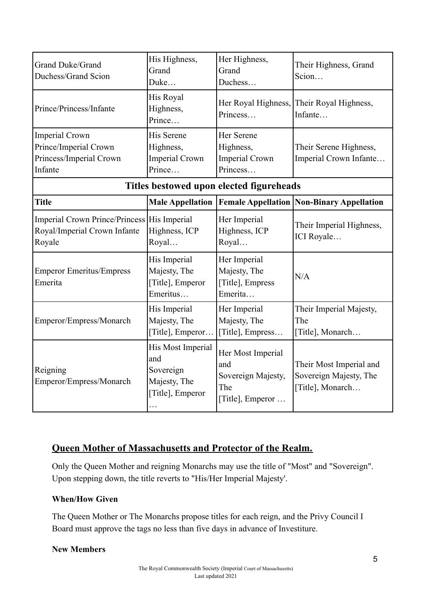| Grand Duke/Grand<br>Duchess/Grand Scion                                               | His Highness,<br>Grand<br>Duke                                                 | Her Highness,<br>Grand<br>Duchess                                         | Their Highness, Grand<br>Scion                                        |  |
|---------------------------------------------------------------------------------------|--------------------------------------------------------------------------------|---------------------------------------------------------------------------|-----------------------------------------------------------------------|--|
| Prince/Princess/Infante                                                               | His Royal<br>Highness,<br>Prince                                               | Her Royal Highness,<br>Princess                                           | Their Royal Highness,<br>Infante                                      |  |
| <b>Imperial Crown</b><br>Prince/Imperial Crown<br>Princess/Imperial Crown<br>Infante  | His Serene<br>Highness,<br><b>Imperial Crown</b><br>Prince                     | Her Serene<br>Highness,<br><b>Imperial Crown</b><br>Princess              | Their Serene Highness,<br>Imperial Crown Infante                      |  |
| Titles bestowed upon elected figureheads                                              |                                                                                |                                                                           |                                                                       |  |
| <b>Title</b>                                                                          | <b>Male Appellation</b>                                                        |                                                                           | <b>Female Appellation Non-Binary Appellation</b>                      |  |
| Imperial Crown Prince/Princess His Imperial<br>Royal/Imperial Crown Infante<br>Royale | Highness, ICP<br>Royal                                                         | Her Imperial<br>Highness, ICP<br>Royal                                    | Their Imperial Highness,<br>ICI Royale                                |  |
| <b>Emperor Emeritus/Empress</b><br>Emerita                                            | His Imperial<br>Majesty, The<br>[Title], Emperor<br>Emeritus                   | Her Imperial<br>Majesty, The<br>[Title], Empress<br>Emerita               | N/A                                                                   |  |
| Emperor/Empress/Monarch                                                               | His Imperial<br>Majesty, The<br>[Title], Emperor                               | Her Imperial<br>Majesty, The<br>[Title], Empress                          | Their Imperial Majesty,<br>The<br>[Title], Monarch                    |  |
| Reigning<br>Emperor/Empress/Monarch                                                   | His Most Imperial<br>and<br>Sovereign<br>Majesty, The<br>[Title], Emperor<br>. | Her Most Imperial<br>and<br>Sovereign Majesty,<br>The<br>[Title], Emperor | Their Most Imperial and<br>Sovereign Majesty, The<br>[Title], Monarch |  |

## **Queen Mother of Massachusetts and Protector of the Realm.**

Only the Queen Mother and reigning Monarchs may use the title of "Most" and "Sovereign". Upon stepping down, the title reverts to "His/Her Imperial Majesty'.

#### **When/How Given**

The Queen Mother or The Monarchs propose titles for each reign, and the Privy Council I Board must approve the tags no less than five days in advance of Investiture.

#### **New Members**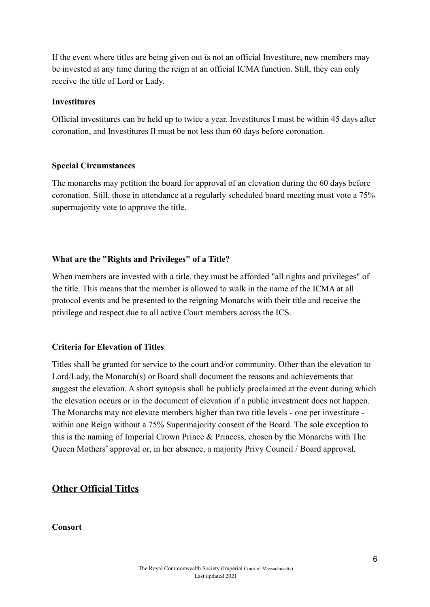If the event where titles are being given out is not an official Investiture, new members may be invested at any time during the reign at an official ICMA function. Still, they can only receive the title of Lord or Lady.

#### **Investitures**

Official investitures can be held up to twice a year. Investitures I must be within 45 days after coronation, and Investitures Il must be not less than 60 days before coronation.

#### **Special Circumstances**

The monarchs may petition the board for approval of an elevation during the 60 days before coronation. Still, those in attendance at a regularly scheduled board meeting must vote a 75% supermajority vote to approve the title.

#### **What are the "Rights and Privileges" of a Title?**

When members are invested with a title, they must be afforded "all rights and privileges" of the title. This means that the member is allowed to walk in the name of the ICMA at all protocol events and be presented to the reigning Monarchs with their title and receive the privilege and respect due to all active Court members across the ICS.

#### **Criteria for Elevation of Titles**

Titles shall be granted for service to the court and/or community. Other than the elevation to Lord/Lady, the Monarch(s) or Board shall document the reasons and achievements that suggest the elevation. A short synopsis shall be publicly proclaimed at the event during which the elevation occurs or in the document of elevation if a public investment does not happen. The Monarchs may not elevate members higher than two title levels - one per investiture within one Reign without a 75% Supermajority consent of the Board. The sole exception to this is the naming of Imperial Crown Prince & Princess, chosen by the Monarchs with The Queen Mothers' approval or, in her absence, a majority Privy Council / Board approval.

## **Other Official Titles**

#### **Consort**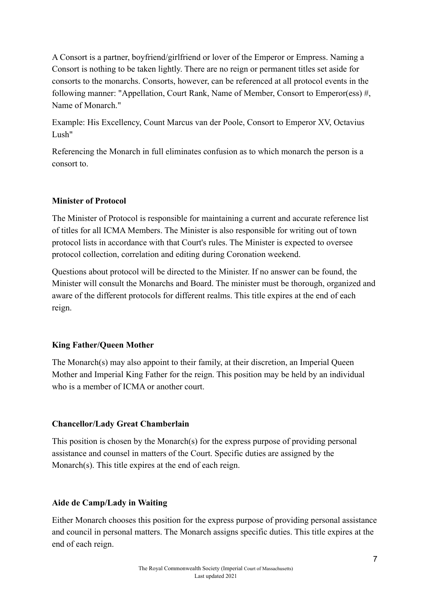A Consort is a partner, boyfriend/girlfriend or lover of the Emperor or Empress. Naming a Consort is nothing to be taken lightly. There are no reign or permanent titles set aside for consorts to the monarchs. Consorts, however, can be referenced at all protocol events in the following manner: "Appellation, Court Rank, Name of Member, Consort to Emperor(ess) #, Name of Monarch."

Example: His Excellency, Count Marcus van der Poole, Consort to Emperor XV, Octavius Lush"

Referencing the Monarch in full eliminates confusion as to which monarch the person is a consort to.

## **Minister of Protocol**

The Minister of Protocol is responsible for maintaining a current and accurate reference list of titles for all ICMA Members. The Minister is also responsible for writing out of town protocol lists in accordance with that Court's rules. The Minister is expected to oversee protocol collection, correlation and editing during Coronation weekend.

Questions about protocol will be directed to the Minister. If no answer can be found, the Minister will consult the Monarchs and Board. The minister must be thorough, organized and aware of the different protocols for different realms. This title expires at the end of each reign.

## **King Father/Queen Mother**

The Monarch(s) may also appoint to their family, at their discretion, an Imperial Queen Mother and Imperial King Father for the reign. This position may be held by an individual who is a member of ICMA or another court.

#### **Chancellor/Lady Great Chamberlain**

This position is chosen by the Monarch(s) for the express purpose of providing personal assistance and counsel in matters of the Court. Specific duties are assigned by the Monarch(s). This title expires at the end of each reign.

#### **Aide de Camp/Lady in Waiting**

Either Monarch chooses this position for the express purpose of providing personal assistance and council in personal matters. The Monarch assigns specific duties. This title expires at the end of each reign.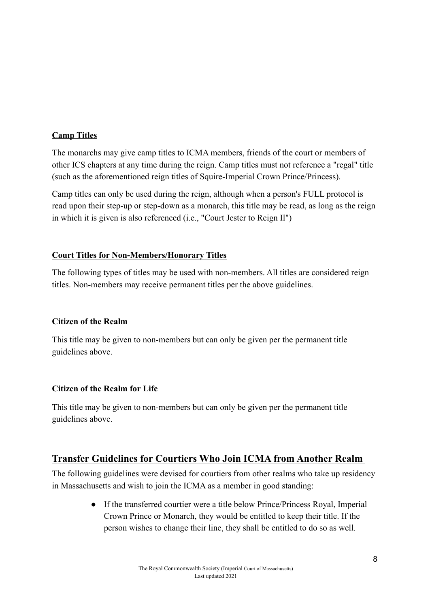#### **Camp Titles**

The monarchs may give camp titles to ICMA members, friends of the court or members of other ICS chapters at any time during the reign. Camp titles must not reference a "regal" title (such as the aforementioned reign titles of Squire-Imperial Crown Prince/Princess).

Camp titles can only be used during the reign, although when a person's FULL protocol is read upon their step-up or step-down as a monarch, this title may be read, as long as the reign in which it is given is also referenced (i.e., "Court Jester to Reign Il")

#### **Court Titles for Non-Members/Honorary Titles**

The following types of titles may be used with non-members. All titles are considered reign titles. Non-members may receive permanent titles per the above guidelines.

#### **Citizen of the Realm**

This title may be given to non-members but can only be given per the permanent title guidelines above.

#### **Citizen of the Realm for Life**

This title may be given to non-members but can only be given per the permanent title guidelines above.

## **Transfer Guidelines for Courtiers Who Join ICMA from Another Realm**

The following guidelines were devised for courtiers from other realms who take up residency in Massachusetts and wish to join the ICMA as a member in good standing:

> ● If the transferred courtier were a title below Prince/Princess Royal, Imperial Crown Prince or Monarch, they would be entitled to keep their title. If the person wishes to change their line, they shall be entitled to do so as well.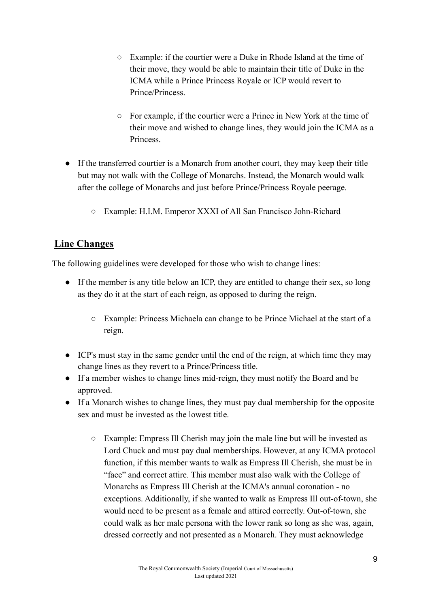- Example: if the courtier were a Duke in Rhode Island at the time of their move, they would be able to maintain their title of Duke in the ICMA while a Prince Princess Royale or ICP would revert to Prince/Princess.
- For example, if the courtier were a Prince in New York at the time of their move and wished to change lines, they would join the ICMA as a Princess.
- If the transferred courtier is a Monarch from another court, they may keep their title but may not walk with the College of Monarchs. Instead, the Monarch would walk after the college of Monarchs and just before Prince/Princess Royale peerage.
	- Example: H.I.M. Emperor XXXI of All San Francisco John-Richard

# **Line Changes**

The following guidelines were developed for those who wish to change lines:

- If the member is any title below an ICP, they are entitled to change their sex, so long as they do it at the start of each reign, as opposed to during the reign.
	- Example: Princess Michaela can change to be Prince Michael at the start of a reign.
- ICP's must stay in the same gender until the end of the reign, at which time they may change lines as they revert to a Prince/Princess title.
- If a member wishes to change lines mid-reign, they must notify the Board and be approved.
- If a Monarch wishes to change lines, they must pay dual membership for the opposite sex and must be invested as the lowest title.
	- Example: Empress Ill Cherish may join the male line but will be invested as Lord Chuck and must pay dual memberships. However, at any ICMA protocol function, if this member wants to walk as Empress Ill Cherish, she must be in "face" and correct attire. This member must also walk with the College of Monarchs as Empress Ill Cherish at the ICMA's annual coronation - no exceptions. Additionally, if she wanted to walk as Empress Ill out-of-town, she would need to be present as a female and attired correctly. Out-of-town, she could walk as her male persona with the lower rank so long as she was, again, dressed correctly and not presented as a Monarch. They must acknowledge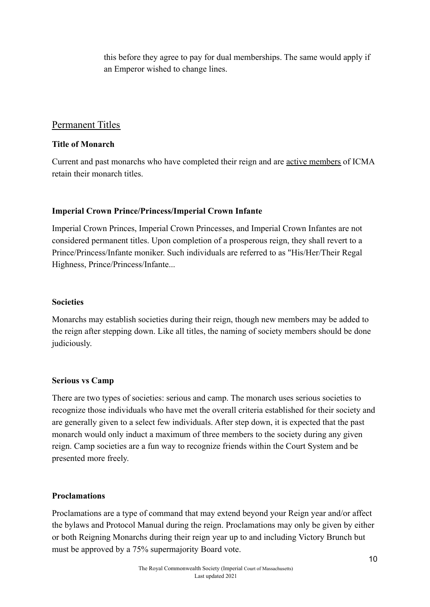this before they agree to pay for dual memberships. The same would apply if an Emperor wished to change lines.

## Permanent Titles

#### **Title of Monarch**

Current and past monarchs who have completed their reign and are active members of ICMA retain their monarch titles.

## **Imperial Crown Prince/Princess/Imperial Crown Infante**

Imperial Crown Princes, Imperial Crown Princesses, and Imperial Crown Infantes are not considered permanent titles. Upon completion of a prosperous reign, they shall revert to a Prince/Princess/Infante moniker. Such individuals are referred to as "His/Her/Their Regal Highness, Prince/Princess/Infante...

#### **Societies**

Monarchs may establish societies during their reign, though new members may be added to the reign after stepping down. Like all titles, the naming of society members should be done judiciously.

#### **Serious vs Camp**

There are two types of societies: serious and camp. The monarch uses serious societies to recognize those individuals who have met the overall criteria established for their society and are generally given to a select few individuals. After step down, it is expected that the past monarch would only induct a maximum of three members to the society during any given reign. Camp societies are a fun way to recognize friends within the Court System and be presented more freely.

## **Proclamations**

Proclamations are a type of command that may extend beyond your Reign year and/or affect the bylaws and Protocol Manual during the reign. Proclamations may only be given by either or both Reigning Monarchs during their reign year up to and including Victory Brunch but must be approved by a 75% supermajority Board vote.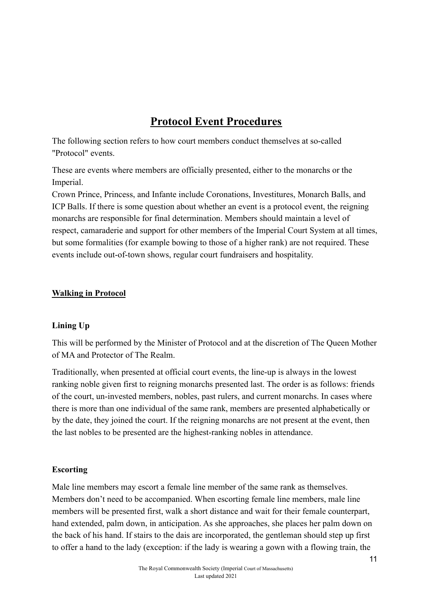# **Protocol Event Procedures**

The following section refers to how court members conduct themselves at so-called "Protocol" events.

These are events where members are officially presented, either to the monarchs or the Imperial.

Crown Prince, Princess, and Infante include Coronations, Investitures, Monarch Balls, and ICP Balls. If there is some question about whether an event is a protocol event, the reigning monarchs are responsible for final determination. Members should maintain a level of respect, camaraderie and support for other members of the Imperial Court System at all times, but some formalities (for example bowing to those of a higher rank) are not required. These events include out-of-town shows, regular court fundraisers and hospitality.

## **Walking in Protocol**

## **Lining Up**

This will be performed by the Minister of Protocol and at the discretion of The Queen Mother of MA and Protector of The Realm.

Traditionally, when presented at official court events, the line-up is always in the lowest ranking noble given first to reigning monarchs presented last. The order is as follows: friends of the court, un-invested members, nobles, past rulers, and current monarchs. In cases where there is more than one individual of the same rank, members are presented alphabetically or by the date, they joined the court. If the reigning monarchs are not present at the event, then the last nobles to be presented are the highest-ranking nobles in attendance.

#### **Escorting**

Male line members may escort a female line member of the same rank as themselves. Members don't need to be accompanied. When escorting female line members, male line members will be presented first, walk a short distance and wait for their female counterpart, hand extended, palm down, in anticipation. As she approaches, she places her palm down on the back of his hand. If stairs to the dais are incorporated, the gentleman should step up first to offer a hand to the lady (exception: if the lady is wearing a gown with a flowing train, the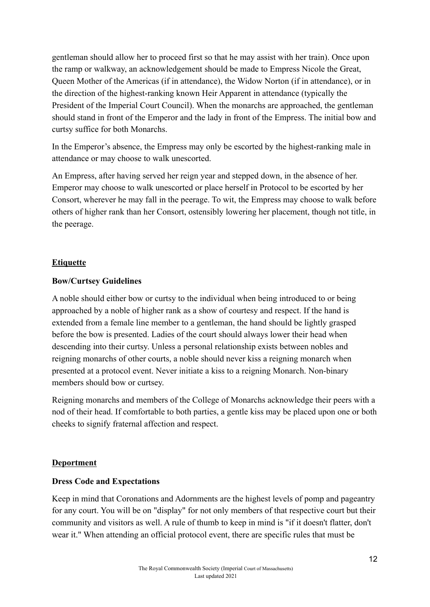gentleman should allow her to proceed first so that he may assist with her train). Once upon the ramp or walkway, an acknowledgement should be made to Empress Nicole the Great, Queen Mother of the Americas (if in attendance), the Widow Norton (if in attendance), or in the direction of the highest-ranking known Heir Apparent in attendance (typically the President of the Imperial Court Council). When the monarchs are approached, the gentleman should stand in front of the Emperor and the lady in front of the Empress. The initial bow and curtsy suffice for both Monarchs.

In the Emperor's absence, the Empress may only be escorted by the highest-ranking male in attendance or may choose to walk unescorted.

An Empress, after having served her reign year and stepped down, in the absence of her. Emperor may choose to walk unescorted or place herself in Protocol to be escorted by her Consort, wherever he may fall in the peerage. To wit, the Empress may choose to walk before others of higher rank than her Consort, ostensibly lowering her placement, though not title, in the peerage.

#### **Etiquette**

#### **Bow/Curtsey Guidelines**

A noble should either bow or curtsy to the individual when being introduced to or being approached by a noble of higher rank as a show of courtesy and respect. If the hand is extended from a female line member to a gentleman, the hand should be lightly grasped before the bow is presented. Ladies of the court should always lower their head when descending into their curtsy. Unless a personal relationship exists between nobles and reigning monarchs of other courts, a noble should never kiss a reigning monarch when presented at a protocol event. Never initiate a kiss to a reigning Monarch. Non-binary members should bow or curtsey.

Reigning monarchs and members of the College of Monarchs acknowledge their peers with a nod of their head. If comfortable to both parties, a gentle kiss may be placed upon one or both cheeks to signify fraternal affection and respect.

#### **Deportment**

#### **Dress Code and Expectations**

Keep in mind that Coronations and Adornments are the highest levels of pomp and pageantry for any court. You will be on "display" for not only members of that respective court but their community and visitors as well. A rule of thumb to keep in mind is "if it doesn't flatter, don't wear it." When attending an official protocol event, there are specific rules that must be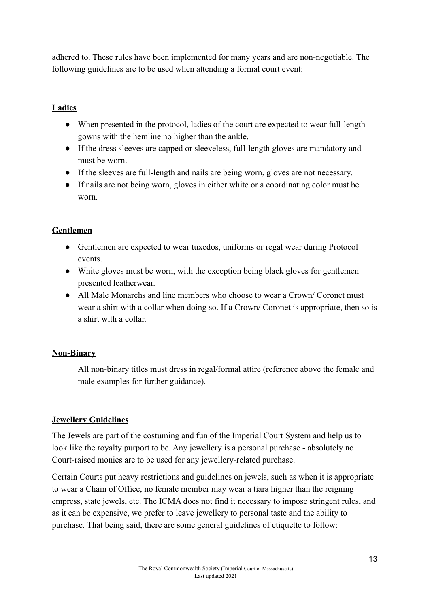adhered to. These rules have been implemented for many years and are non-negotiable. The following guidelines are to be used when attending a formal court event:

#### **Ladies**

- When presented in the protocol, ladies of the court are expected to wear full-length gowns with the hemline no higher than the ankle.
- If the dress sleeves are capped or sleeveless, full-length gloves are mandatory and must be worn.
- If the sleeves are full-length and nails are being worn, gloves are not necessary.
- If nails are not being worn, gloves in either white or a coordinating color must be worn.

#### **Gentlemen**

- Gentlemen are expected to wear tuxedos, uniforms or regal wear during Protocol events.
- White gloves must be worn, with the exception being black gloves for gentlemen presented leatherwear.
- All Male Monarchs and line members who choose to wear a Crown/Coronet must wear a shirt with a collar when doing so. If a Crown/ Coronet is appropriate, then so is a shirt with a collar.

## **Non-Binary**

All non-binary titles must dress in regal/formal attire (reference above the female and male examples for further guidance).

#### **Jewellery Guidelines**

The Jewels are part of the costuming and fun of the Imperial Court System and help us to look like the royalty purport to be. Any jewellery is a personal purchase - absolutely no Court-raised monies are to be used for any jewellery-related purchase.

Certain Courts put heavy restrictions and guidelines on jewels, such as when it is appropriate to wear a Chain of Office, no female member may wear a tiara higher than the reigning empress, state jewels, etc. The ICMA does not find it necessary to impose stringent rules, and as it can be expensive, we prefer to leave jewellery to personal taste and the ability to purchase. That being said, there are some general guidelines of etiquette to follow: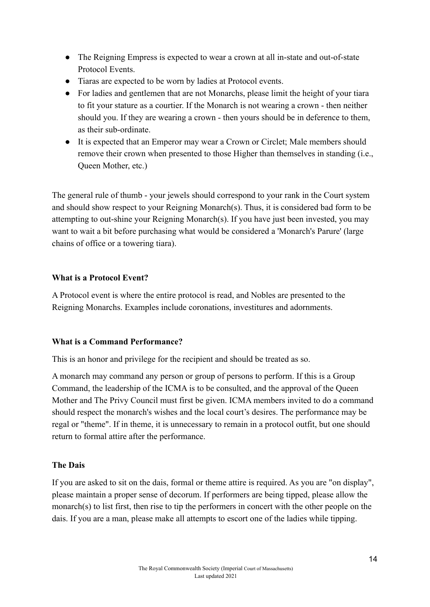- The Reigning Empress is expected to wear a crown at all in-state and out-of-state Protocol Events.
- Tiaras are expected to be worn by ladies at Protocol events.
- For ladies and gentlemen that are not Monarchs, please limit the height of your tiara to fit your stature as a courtier. If the Monarch is not wearing a crown - then neither should you. If they are wearing a crown - then yours should be in deference to them, as their sub-ordinate.
- It is expected that an Emperor may wear a Crown or Circlet; Male members should remove their crown when presented to those Higher than themselves in standing (i.e., Queen Mother, etc.)

The general rule of thumb - your jewels should correspond to your rank in the Court system and should show respect to your Reigning Monarch(s). Thus, it is considered bad form to be attempting to out-shine your Reigning Monarch(s). If you have just been invested, you may want to wait a bit before purchasing what would be considered a 'Monarch's Parure' (large chains of office or a towering tiara).

#### **What is a Protocol Event?**

A Protocol event is where the entire protocol is read, and Nobles are presented to the Reigning Monarchs. Examples include coronations, investitures and adornments.

#### **What is a Command Performance?**

This is an honor and privilege for the recipient and should be treated as so.

A monarch may command any person or group of persons to perform. If this is a Group Command, the leadership of the ICMA is to be consulted, and the approval of the Queen Mother and The Privy Council must first be given. ICMA members invited to do a command should respect the monarch's wishes and the local court's desires. The performance may be regal or "theme". If in theme, it is unnecessary to remain in a protocol outfit, but one should return to formal attire after the performance.

#### **The Dais**

If you are asked to sit on the dais, formal or theme attire is required. As you are "on display", please maintain a proper sense of decorum. If performers are being tipped, please allow the monarch(s) to list first, then rise to tip the performers in concert with the other people on the dais. If you are a man, please make all attempts to escort one of the ladies while tipping.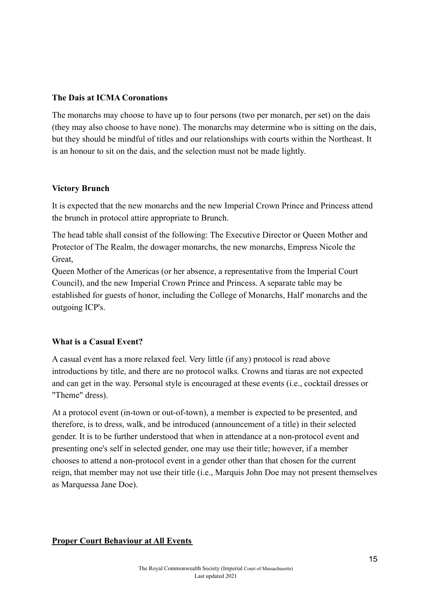#### **The Dais at ICMA Coronations**

The monarchs may choose to have up to four persons (two per monarch, per set) on the dais (they may also choose to have none). The monarchs may determine who is sitting on the dais, but they should be mindful of titles and our relationships with courts within the Northeast. It is an honour to sit on the dais, and the selection must not be made lightly.

#### **Victory Brunch**

It is expected that the new monarchs and the new Imperial Crown Prince and Princess attend the brunch in protocol attire appropriate to Brunch.

The head table shall consist of the following: The Executive Director or Queen Mother and Protector of The Realm, the dowager monarchs, the new monarchs, Empress Nicole the Great,

Queen Mother of the Americas (or her absence, a representative from the Imperial Court Council), and the new Imperial Crown Prince and Princess. A separate table may be established for guests of honor, including the College of Monarchs, Half' monarchs and the outgoing ICP's.

#### **What is a Casual Event?**

A casual event has a more relaxed feel. Very little (if any) protocol is read above introductions by title, and there are no protocol walks. Crowns and tiaras are not expected and can get in the way. Personal style is encouraged at these events (i.e., cocktail dresses or "Theme" dress).

At a protocol event (in-town or out-of-town), a member is expected to be presented, and therefore, is to dress, walk, and be introduced (announcement of a title) in their selected gender. It is to be further understood that when in attendance at a non-protocol event and presenting one's self in selected gender, one may use their title; however, if a member chooses to attend a non-protocol event in a gender other than that chosen for the current reign, that member may not use their title (i.e., Marquis John Doe may not present themselves as Marquessa Jane Doe).

#### **Proper Court Behaviour at All Events**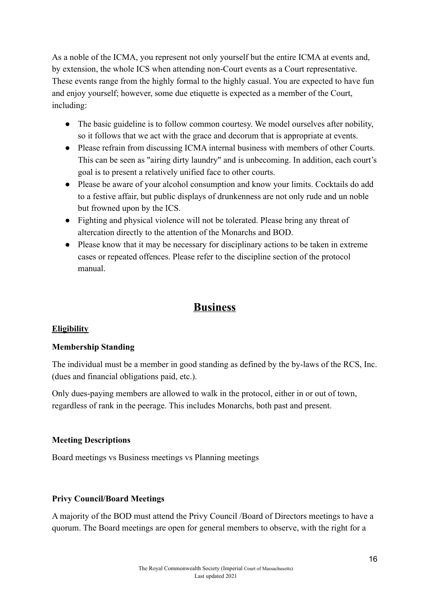As a noble of the ICMA, you represent not only yourself but the entire ICMA at events and, by extension, the whole ICS when attending non-Court events as a Court representative. These events range from the highly formal to the highly casual. You are expected to have fun and enjoy yourself; however, some due etiquette is expected as a member of the Court, including:

- The basic guideline is to follow common courtesy. We model ourselves after nobility, so it follows that we act with the grace and decorum that is appropriate at events.
- Please refrain from discussing ICMA internal business with members of other Courts. This can be seen as "airing dirty laundry" and is unbecoming. In addition, each court's goal is to present a relatively unified face to other courts.
- Please be aware of your alcohol consumption and know your limits. Cocktails do add to a festive affair, but public displays of drunkenness are not only rude and un noble but frowned upon by the ICS.
- Fighting and physical violence will not be tolerated. Please bring any threat of altercation directly to the attention of the Monarchs and BOD.
- Please know that it may be necessary for disciplinary actions to be taken in extreme cases or repeated offences. Please refer to the discipline section of the protocol manual.

# **Business**

## **Eligibility**

#### **Membership Standing**

The individual must be a member in good standing as defined by the by-laws of the RCS, Inc. (dues and financial obligations paid, etc.).

Only dues-paying members are allowed to walk in the protocol, either in or out of town, regardless of rank in the peerage. This includes Monarchs, both past and present.

## **Meeting Descriptions**

Board meetings vs Business meetings vs Planning meetings

## **Privy Council/Board Meetings**

A majority of the BOD must attend the Privy Council /Board of Directors meetings to have a quorum. The Board meetings are open for general members to observe, with the right for a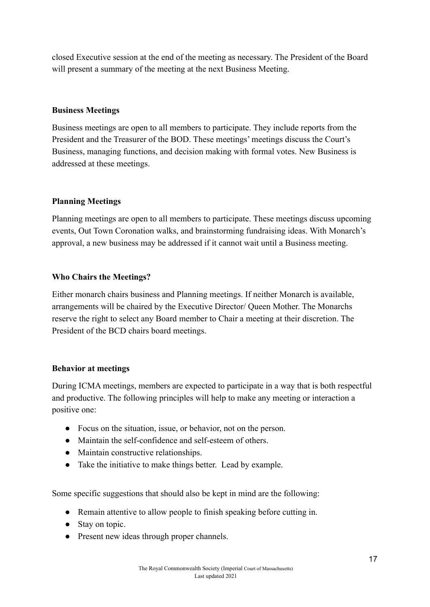closed Executive session at the end of the meeting as necessary. The President of the Board will present a summary of the meeting at the next Business Meeting.

#### **Business Meetings**

Business meetings are open to all members to participate. They include reports from the President and the Treasurer of the BOD. These meetings' meetings discuss the Court's Business, managing functions, and decision making with formal votes. New Business is addressed at these meetings.

#### **Planning Meetings**

Planning meetings are open to all members to participate. These meetings discuss upcoming events, Out Town Coronation walks, and brainstorming fundraising ideas. With Monarch's approval, a new business may be addressed if it cannot wait until a Business meeting.

#### **Who Chairs the Meetings?**

Either monarch chairs business and Planning meetings. If neither Monarch is available, arrangements will be chaired by the Executive Director/ Queen Mother. The Monarchs reserve the right to select any Board member to Chair a meeting at their discretion. The President of the BCD chairs board meetings.

#### **Behavior at meetings**

During ICMA meetings, members are expected to participate in a way that is both respectful and productive. The following principles will help to make any meeting or interaction a positive one:

- Focus on the situation, issue, or behavior, not on the person.
- Maintain the self-confidence and self-esteem of others.
- Maintain constructive relationships.
- Take the initiative to make things better. Lead by example.

Some specific suggestions that should also be kept in mind are the following:

- Remain attentive to allow people to finish speaking before cutting in.
- Stay on topic.
- Present new ideas through proper channels.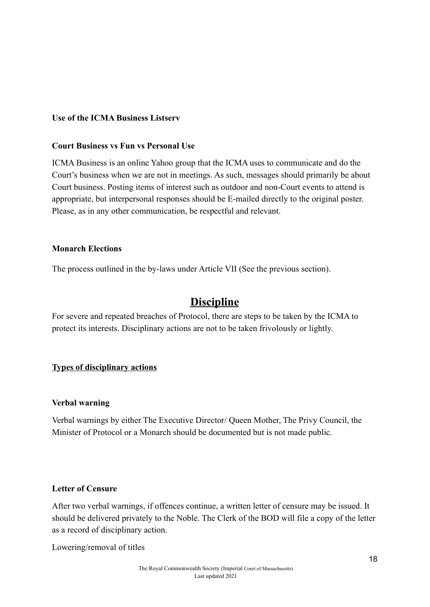#### **Use of the ICMA Business Listserv**

#### **Court Business vs Fun vs Personal Use**

ICMA Business is an online Yahoo group that the ICMA uses to communicate and do the Court's business when we are not in meetings. As such, messages should primarily be about Court business. Posting items of interest such as outdoor and non-Court events to attend is appropriate, but interpersonal responses should be E-mailed directly to the original poster. Please, as in any other communication, be respectful and relevant.

#### **Monarch Elections**

The process outlined in the by-laws under Article VII (See the previous section).

# **Discipline**

For severe and repeated breaches of Protocol, there are steps to be taken by the ICMA to protect its interests. Disciplinary actions are not to be taken frivolously or lightly.

#### **Types of disciplinary actions**

#### **Verbal warning**

Verbal warnings by either The Executive Director/ Queen Mother, The Privy Council, the Minister of Protocol or a Monarch should be documented but is not made public.

#### **Letter of Censure**

After two verbal warnings, if offences continue, a written letter of censure may be issued. It should be delivered privately to the Noble. The Clerk of the BOD will file a copy of the letter as a record of disciplinary action.

Lowering/removal of titles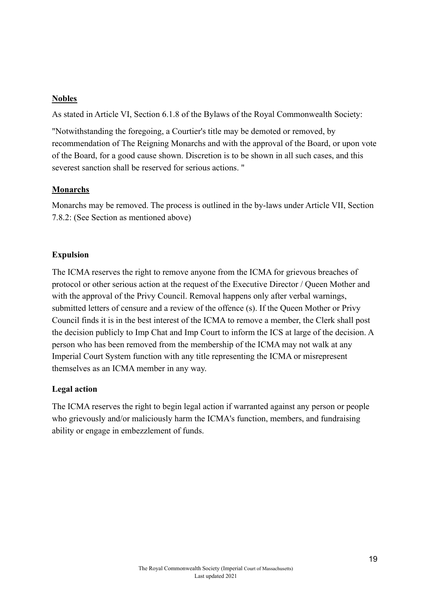#### **Nobles**

As stated in Article VI, Section 6.1.8 of the Bylaws of the Royal Commonwealth Society:

"Notwithstanding the foregoing, a Courtier's title may be demoted or removed, by recommendation of The Reigning Monarchs and with the approval of the Board, or upon vote of the Board, for a good cause shown. Discretion is to be shown in all such cases, and this severest sanction shall be reserved for serious actions. "

#### **Monarchs**

Monarchs may be removed. The process is outlined in the by-laws under Article VII, Section 7.8.2: (See Section as mentioned above)

## **Expulsion**

The ICMA reserves the right to remove anyone from the ICMA for grievous breaches of protocol or other serious action at the request of the Executive Director / Queen Mother and with the approval of the Privy Council. Removal happens only after verbal warnings, submitted letters of censure and a review of the offence (s). If the Queen Mother or Privy Council finds it is in the best interest of the ICMA to remove a member, the Clerk shall post the decision publicly to Imp Chat and Imp Court to inform the ICS at large of the decision. A person who has been removed from the membership of the ICMA may not walk at any Imperial Court System function with any title representing the ICMA or misrepresent themselves as an ICMA member in any way.

## **Legal action**

The ICMA reserves the right to begin legal action if warranted against any person or people who grievously and/or maliciously harm the ICMA's function, members, and fundraising ability or engage in embezzlement of funds.